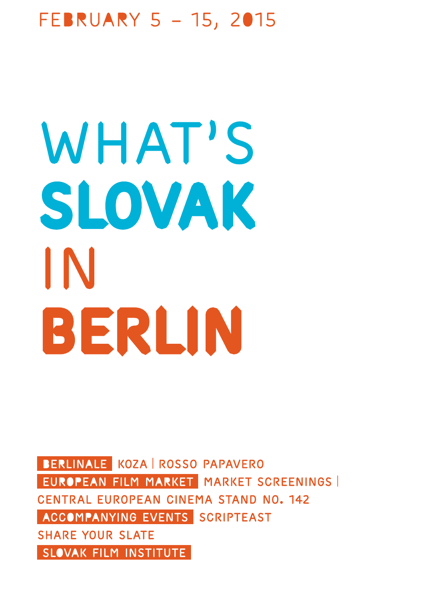## February 5 – 15, 2015

# WHAT'S slovak in BERLIN

BERLINALE KOZA ROSSO PAPAVERO EUROPEAN FILM MARKET MARKET SCREENINGS Central European Cinema Stand No. 142 ACCOMPANYING EVENTS SCRIPTEAST SHARE YOUR SLATE SLOVAK FILM INSTITUTE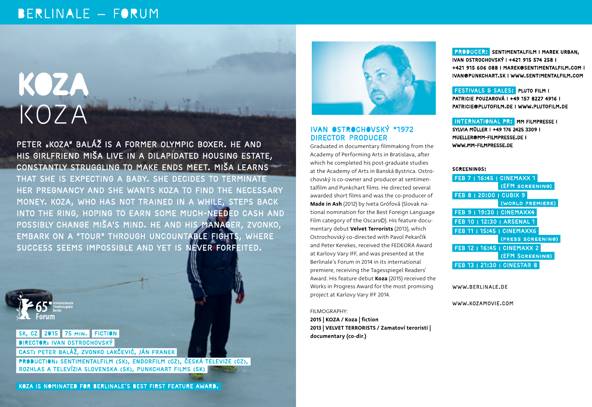## BERLINALE - FORUM

# KOZA KOZA

### PETER "KOZA" BALÁŽ IS A FORMER OLYMPIC BOXER. HE AND his girlfriend Miša live in a dilapidated housing estate, constantly struggling to make ends meet. Miša learns

that she is expecting a baby. She decides to terminate her pregnancy and she wants Koza to find the necessary money. Koza, who has not trained in a while, steps back into the ring, hoping to earn some much-needed cash and possibly change Miša's mind. He and his manager, Zvonko, embark on a "tour" through uncountable fights, where success seems impossible and yet is never forfeited.



#### SK, CZ 2015 75 MIN. FICTION **DIRECTOR: IVAN OSTROCHOVSKÝ**

CAST: Peter Baláž, Zvonko Lakčević, Ján Franek

PRODUCTION: SENTIMENTALFILM (SK), ENDORFILM (CZ), ČESKÁ TELEVIZE (CZ), Rozhlas a televízia Slovenska (SK), Punkchart films (SK)





#### IVAN OSTROCHOVSKÝ \*1972 DIRECTOR PRODUCER

Graduated in documentary filmmaking from the Academy of Performing Arts in Bratislava, after which he completed his post-graduate studies at the Academy of Arts in Banská Bystrica. Ostrochovský is co-owner and producer at sentimentalfilm and Punkchart films. He directed several awarded short films and was the co-producer of Made in Ash (2012) by Iveta Grófová (Slovak national nomination for the Best Foreign Language Film category of the Oscars©). His feature documentary debut Velvet Terrorists (2013), which Ostrochovský co-directed with Pavol Pekarčík and Peter Kerekes, received the FEDEORA Award at Karlovy Vary IFF, and was presented at the Berlinale´s Forum in 2014 in its international premiere, receiving the Tagesspiegel Readers' Award. His feature debut Koza (2015) received the Works in Progress Award for the most promising project at Karlovy Vary IFF 2014.

FILMOGRAPHY:

2015 | KOZA / Koza | fiction 2013 | VELVET TERRORISTS / Zamatoví teroristi | documentary (co-dir.)

 Producer: sentimentalfilm | Marek Urban, Ivan Ostrochovský | +421 915 574 258 | +421 915 606 088 | marek@sentimentalfilm.com | ivan@punkchart.sk | www.sentimentalfilm.com

 Festivals & Sales: Pluto Film | Patricie Pouzarová | +49 157 8227 4916 | patricie@plutofilm.de | www.plutofilm.de

International PR: mm filmpresse | Sylvia Müller | +49 176 2425 3309 | mueller@mm-filmpresse.de | www.mm-filmpresse.de

#### Screenings:

| <b>FEB 7   16:45   CINEMAXX 1</b>  |
|------------------------------------|
| (EFM SCREENING)                    |
| FEB 8   20:00   CUBIX 9            |
| (WORLD PREMIERE)                   |
| <b>FEB 9   19:30   CINEMAXX4</b>   |
| FEB 10   12:30   ARSENAL 1         |
| <b>FEB 11   15:45   CINEMAXX6</b>  |
| (PRESS SCREENING)                  |
| FEB 12   16:45   CINEMAXX 2        |
| <b>(EFM SCREENING)</b>             |
| <b>FEB 13   21:30   CINESTAR 8</b> |

www.berlinale.de

www.kozamovie.com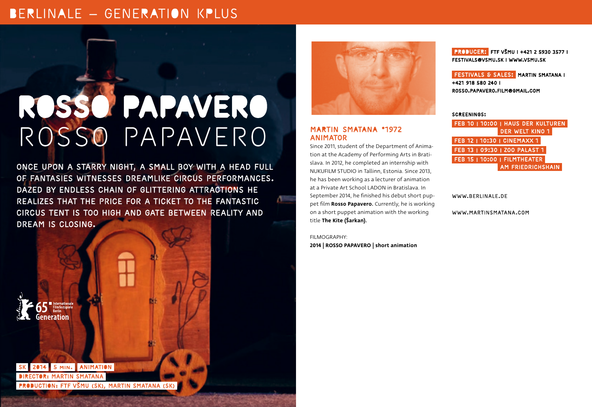## BERLINALE - GENERATION KPLUS

## ROSSO PAPAVERO ROSSO PAPAVERO

Once upon a starry night, a small boy with a head full of fantasies witnesses dreamlike circus performances. Dazed by endless chain of glittering attractions he realizes that the price for a ticket to the fantastic circus tent is too high and gate between reality and DREAM IS CLOSING.



#### MARTIN SMATANA \*1972 ANIMATOR

Since 2011, student of the Department of Animation at the Academy of Performing Arts in Bratislava. In 2012, he completed an internship with NUKUFILM STUDIO in Tallinn, Estonia. Since 2013, he has been working as a lecturer of animation at a Private Art School LADON in Bratislava. In September 2014, he finished his debut short puppet film Rosso Papavero. Currently, he is working on a short puppet animation with the working title The Kite (Šarkan).

FILMOGRAPHY: 2014 | ROSSO PAPAVERO | short animation

 Producer: FTF VŠMU | +421 2 5930 3577 | festivals@vsmu.sk | www.vsmu.sk

**FESTIVALS & SALES: MARTIN SMATANA I** +421 918 580 240 | rosso.papavero.film@gmail.com

Screenings:

 Feb 10 | 10:00 | Haus der Kulturen der Welt Kino 1 Feb 12 | 10:30 | CinemaxX 1 Feb 13 | 09:30 | Zoo Palast 1 Feb 15 | 10:00 | Filmtheater **AM FRIEDRICHSHAIN** 

www.berlinale.de

www.martinsmatana.com

Generatior

2014 5 min. ANIMATION DIRECTOR: Martin Smatana PRODUCTION: FTF VŠMU (SK), Martin Smatana (SK)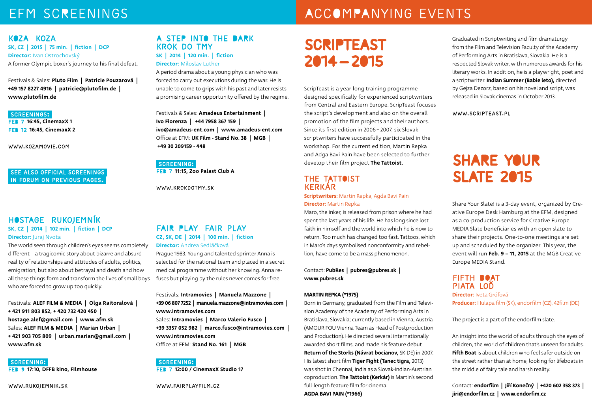## EFM SCREENINGS ACCOMPANYING EVENTS

#### Koza Koza SK, CZ | 2015 | 75 min. | fiction | DCP Director: Ivan Ostrochovský A former Olympic boxer´s journey to his final defeat.

Festivals & Sales: Pluto Film | Patricie Pouzarová | +49 157 8227 4916 | patricie@plutofilm.de | www.plutofilm.de

#### Screenings: Feb 7 16:45, CinemaxX 1 Feb 12 16:45, CinemaxX 2

www.kozamovie.com

#### See also Official Screenings in Forum oN previous pages.

#### HOSTAGE RUKOJEMNÍK SK, CZ | 2014 | 102 min. | fiction | DCP Director: Juraj Nvota

The world seen through children's eyes seems completely different – a tragicomic story about bizarre and absurd reality of relationships and attitudes of adults, politics, emigration, but also about betrayal and death and how all these things form and transform the lives of small boys who are forced to grow up too quickly.

Festivals: ALEF FILM & MEDIA | Olga Raitoralová | + 421 911 803 852, + 420 732 420 450 | hostage.alef@gmail.com | www.afm.sk Sales: ALEF FILM & MEDIA | Marian Urban | + 421 903 705 809 | urban.marian@gmail.com | www.afm.sk

SCREENING:

FEB 9 17:10, DFFB kino, Filmhouse

www.rukojemnik.sk

#### A STEP INTO THE DARK KROK DO TMY SK | 2014 | 120 min. | fiction Director: Miloslav Luther

A period drama about a young physician who was forced to carry out executions during the war. He is unable to come to grips with his past and later resists a promising career opportunity offered by the regime.

Festivals & Sales: Amadeus Entertainment | Ivo Fiorenza | +44 7958 367 159 | ivo@amadeus-ent.com | www.amadeus-ent.com Office at EFM: UK Film - Stand No. 38 | MGB | +49 30 209159 - 448

SCREENING: FEB 7 11:15, Zoo Palast Club A

www.krokdotmy.sk

#### FAIR PLAY FAIR PLAY CZ, SK, DE | 2014 | 100 min. | fiction Director: Andrea Sedláčková

Prague 1983. Young and talented sprinter Anna is selected for the national team and placed in a secret medical programme without her knowing. Anna refuses but playing by the rules never comes for free.

Festivals: Intramovies | Manuela Mazzone | +39 06 807 7252 | manuela.mazzone@intramovies.com | www.intramovies.com Sales: Intramovies | Marco Valerio Fusco | +39 3357 052 982 | marco.fusco@intramovies.com | www.intramovies.com Office at EFM: Stand No. 161 | MGB

SCREENING: Feb 7 12:00 / CinemaxX Studio 17

www.fairplayfilm.cz

## SCRIPTEAST 2014 — 2015

ScripTeast is a year-long training programme designed specifically for experienced scriptwriters from Central and Eastern Europe. ScripTeast focuses the script´s development and also on the overall promotion of the film projects and their authors. Since its first edition in 2006 − 2007, six Slovak scriptwriters have successfully participated in the workshop. For the current edition, Martin Repka and Adga Bavi Pain have been selected to further develop their film project The Tattoist.

#### THE TATTOIST Kerkár

**Scriptwriters:** Martin Repka, Agda Bavi Pain Director: Martin Repka

Maro, the inker, is released from prison where he had spent the last years of his life. He has long since lost faith in himself and the world into which he is now to return. Too much has changed too fast. Tattoos, which in Maro's days symbolised nonconformity and rebellion, have come to be a mass phenomenon.

Contact: PubRes | pubres@pubres.sk | www.pubres.sk

#### MARTIN REPKA (\*1975)

Born in Germany, graduated from the Film and Television Academy of the Academy of Performing Arts in Bratislava, Slovakia; currently based in Vienna, Austria (AMOUR FOU Vienna Team as Head of Postproduction and Production). He directed several internationally awarded short films, and made his feature debut Return of the Storks (Návrat bocianov, SK-DE) in 2007. His latest short film Tiger Fight (Tanec tigra, 2013) was shot in Chennai, India as a Slovak-Indian-Austrian coproduction. The Tattoist (Kerkár) is Martin's second full-length feature film for cinema. AGDA BAVI PAIN (\*1966)

Graduated in Scriptwriting and film dramaturgy from the Film and Television Faculty of the Academy of Performing Arts in Bratislava, Slovakia. He is a respected Slovak writer, with numerous awards for his literary works. In addition, he is a playwright, poet and a scriptwriter. Indian Summer (Babie leto), directed by Gejza Dezorz, based on his novel and script, was released in Slovak cinemas in October 2013.

#### www.scripteast.pl

## SHARE YOUR SLATE 2015

Share Your Slate! is a 3-day event, organized by Creative Europe Desk Hamburg at the EFM, designed as a co-production service for Creative Europe MEDIA Slate beneficiaries with an open slate to share their projects. One-to-one meetings are set up and scheduled by the organizer. This year, the event will run Feb. 9 – 11, 2015 at the MGB Creative Europe MEDIA Stand.

#### FIFTH BOAT Piata loď

Director: Iveta Grófová Producer: Hulapa film (SK), endorfilm (CZ), 42film (DE)

The project is a part of the endorfilm slate.

An insight into the world of adults through the eyes of children, the world of children that's unseen for adults. Fifth Boat is about children who feel safer outside on the street rather than at home, looking for lifeboats in the middle of fairy tale and harsh reality.

Contact: endorfilm | Jiří Konečný | +420 602 358 373 | jiri@endorfilm.cz | www.endorfim.cz